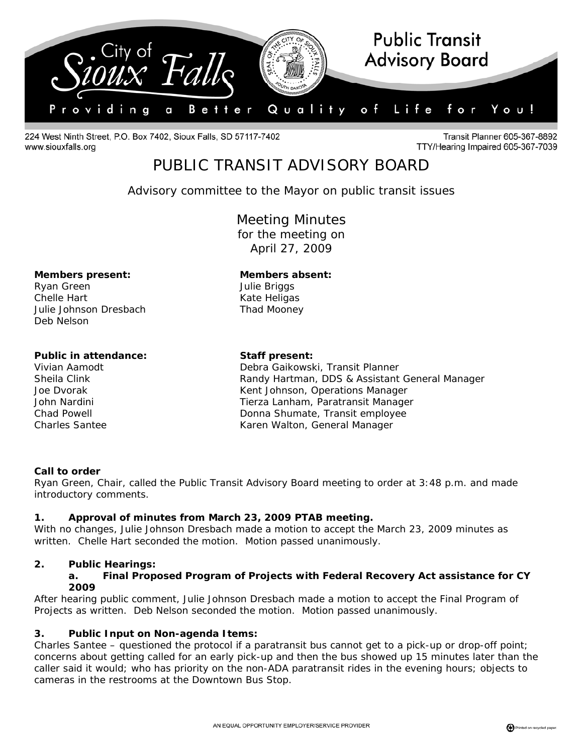

224 West Ninth Street, P.O. Box 7402, Sioux Falls, SD 57117-7402 www.siouxfalls.org

**Transit Planner 605-367-8892** TTY/Hearing Impaired 605-367-7039

# PUBLIC TRANSIT ADVISORY BOARD

*Advisory committee to the Mayor on public transit issues* 

Meeting Minutes for the meeting on April 27, 2009

#### **Members present: Members absent:**

Ryan Green Julie Briggs Chelle Hart **Kate Heligas** Julie Johnson Dresbach Thad Mooney Deb Nelson

# Public in attendance: Staff present:

Vivian Aamodt Debra Gaikowski, Transit Planner Sheila Clink Randy Hartman, DDS & Assistant General Manager Joe Dvorak **Kent Johnson, Operations Manager** Kent Johnson, Operations Manager John Nardini Tierza Lanham, Paratransit Manager Chad Powell **Chad Powell Chad Powell Donna Shumate, Transit employee** Charles Santee **Karen Walton, General Manager** Karen Walton, General Manager

### **Call to order**

Ryan Green, Chair, called the Public Transit Advisory Board meeting to order at 3:48 p.m. and made introductory comments.

# **1. Approval of minutes from March 23, 2009 PTAB meeting.**

With no changes, Julie Johnson Dresbach made a motion to accept the March 23, 2009 minutes as written. Chelle Hart seconded the motion. Motion passed unanimously.

### **2. Public Hearings:**

#### **a. Final Proposed Program of Projects with Federal Recovery Act assistance for CY 2009**

After hearing public comment, Julie Johnson Dresbach made a motion to accept the Final Program of Projects as written. Deb Nelson seconded the motion. Motion passed unanimously.

### **3. Public Input on Non-agenda Items:**

Charles Santee – questioned the protocol if a paratransit bus cannot get to a pick-up or drop-off point; concerns about getting called for an early pick-up and then the bus showed up 15 minutes later than the caller said it would; who has priority on the non-ADA paratransit rides in the evening hours; objects to cameras in the restrooms at the Downtown Bus Stop.